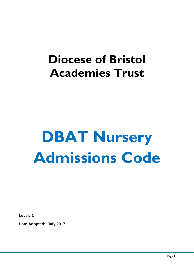# **Diocese of Bristol Academies Trust**

# **DBAT Nursery Admissions Code**

**Level: 1**

**Date Adopted: July 2017**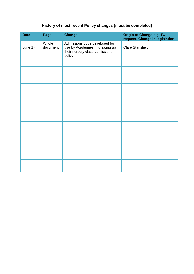## **History of most recent Policy changes (must be completed)**

| <b>Date</b> | Page              | <b>Change</b>                                                                                               | Origin of Change e.g. TU<br>request, Change in legislation |
|-------------|-------------------|-------------------------------------------------------------------------------------------------------------|------------------------------------------------------------|
| June 17     | Whole<br>document | Admissions code developed for<br>use by Academies in drawing up<br>their nursery class admissions<br>policy | <b>Clare Stansfield</b>                                    |
|             |                   |                                                                                                             |                                                            |
|             |                   |                                                                                                             |                                                            |
|             |                   |                                                                                                             |                                                            |
|             |                   |                                                                                                             |                                                            |
|             |                   |                                                                                                             |                                                            |
|             |                   |                                                                                                             |                                                            |
|             |                   |                                                                                                             |                                                            |
|             |                   |                                                                                                             |                                                            |
|             |                   |                                                                                                             |                                                            |
|             |                   |                                                                                                             |                                                            |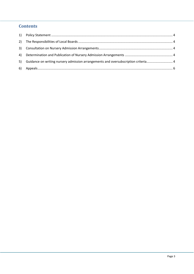### **Contents**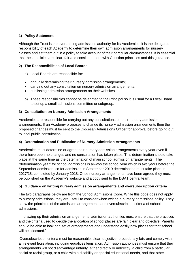#### <span id="page-3-0"></span>**1) Policy Statement**

Although the Trust is the overarching admissions authority for its Academies, it is the delegated responsibility of each Academy to determine their own admission arrangements for nursery classes and set them out in a policy to take account of their particular circumstances. It is essential that these policies are clear, fair and consistent both with Christian principles and this guidance.

#### <span id="page-3-1"></span>**2) The Responsibilities of Local Boards**

- a) Local Boards are responsible for:
- annually determining their nursery admission arrangements;
- carrying out any consultation on nursery admission arrangements;
- publishing admission arrangements on their websites.
- b) These responsibilities cannot be delegated to the Principal so it is usual for a Local Board to set up a small admissions committee or subgroup.

#### <span id="page-3-2"></span>**3) Consultation on Nursery Admission Arrangements**

Academies are responsible for carrying out any consultations on their nursery admission arrangements. If an Academy proposes to change its nursery admission arrangements then the proposed changes must be sent to the Diocesan Admissions Officer for approval before going out to local public consultation.

#### **4) Determination and Publication of Nursery Admission Arrangements**

Academies must determine or agree their nursery admission arrangements every year even if there have been no changes and no consultation has taken place. This determination should take place at the same time as the determination of main school admission arrangements. The "determination year" for school admissions is always the school year which is two years before the September admission, so for admission in September 2019 determination must take place in 2017/18, completed by January 2018. Once nursery arrangements have been agreed they must be published on the Academy's website and a copy sent to the DBAT central team.

#### <span id="page-3-3"></span>**5) Guidance on writing nursery admission arrangements and oversubscription criteria**

The two paragraphs below are from the School Admissions Code. While this code does not apply to nursery admissions, they are useful to consider when writing a nursery admissions policy. They show the principles of the admission arrangements and oversubscription criteria of school admissions:

'In drawing up their admission arrangements, admission authorities must ensure that the practices and the criteria used to decide the allocation of school places are fair, clear and objective. Parents should be able to look at a set of arrangements and understand easily how places for that school will be allocated.'

'Oversubscription criteria must be reasonable, clear, objective, procedurally fair, and comply with all relevant legislation, including equalities legislation. Admission authorities must ensure that their arrangements will not disadvantage unfairly, either directly or indirectly, a child from a particular social or racial group, or a child with a disability or special educational needs, and that other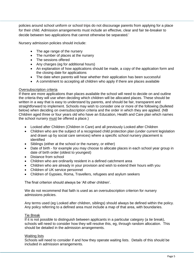policies around school uniform or school trips do not discourage parents from applying for a place for their child. Admission arrangements must include an effective, clear and fair tie-breaker to decide between two applications that cannot otherwise be separated.'

Nursery admission policies should include:

- The age range of the nursery
- The number of places at the nursery
- The sessions offered
- Any charges (eg for additional hours)
- An explanation of how applications should be made, a copy of the application form and the closing date for applications
- The date when parents will hear whether their application has been successful
- A commitment to accepting all children who apply if there are places available

#### Oversubscription criteria

If there are more applications than places available the school will need to decide on and outline the criteria they will use when deciding which children will be allocated places. These should be written in a way that is easy to understand by parents, and should be fair, transparent and straightforward to implement. Schools may wish to consider one or more of the following (bulleted below) when deciding on oversubscription criteria and the order in which they are applied. (NB Children aged three or four years old who have an Education, Health and Care plan which names the school nursery must be offered a place.)

- Looked after Children (Children in Care) and all previously Looked after Children
- Children who are the subject of a recognised child protection plan (under current legislation and drawn up by social care services) where a specific school nursery placement is identified
- Siblings (either at the school or the nursery, or either)
- Date of birth for example you may choose to allocate places in each school year group in date of birth order (oldest to youngest)
- Distance from school
- Children who are ordinarily resident in a defined catchment area
- Children who are already in your provision and wish to extend their hours with you
- Children of UK service personnel
- Children of Gypsies, Roma, Travellers, refugees and asylum seekers

The final criterion should always be 'All other children'.

We do not recommend that faith is used as an oversubscription criterion for nursery admissions policies.

Any terms used (eg Looked after children, siblings) should always be defined within the policy. Any policy referring to a defined area must include a map of that area, with boundaries.

#### Tie Break

If it is not possible to distinguish between applicants in a particular category (a tie break), schools will need to consider how they will resolve this, eg, through random allocation. This should be detailed in the admission arrangements.

#### Waiting lists

Schools will need to consider if and how they operate waiting lists. Details of this should be included in admission arrangements.